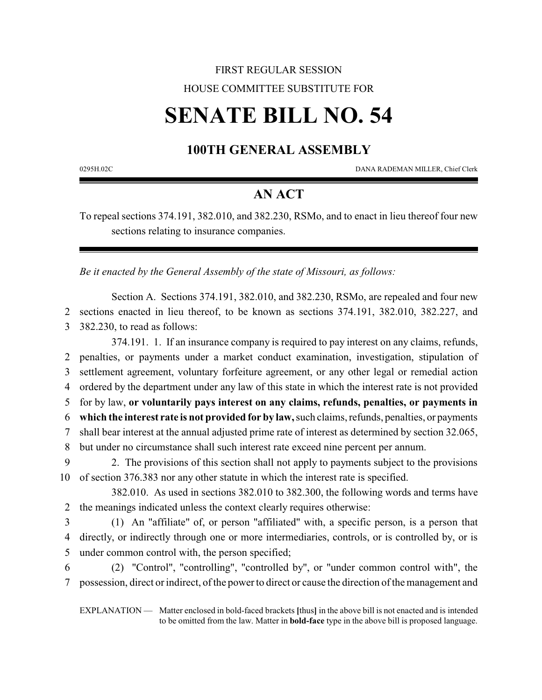# FIRST REGULAR SESSION HOUSE COMMITTEE SUBSTITUTE FOR

# **SENATE BILL NO. 54**

# **100TH GENERAL ASSEMBLY**

0295H.02C DANA RADEMAN MILLER, Chief Clerk

## **AN ACT**

To repeal sections 374.191, 382.010, and 382.230, RSMo, and to enact in lieu thereof four new sections relating to insurance companies.

*Be it enacted by the General Assembly of the state of Missouri, as follows:*

Section A. Sections 374.191, 382.010, and 382.230, RSMo, are repealed and four new 2 sections enacted in lieu thereof, to be known as sections 374.191, 382.010, 382.227, and 3 382.230, to read as follows:

374.191. 1. If an insurance company is required to pay interest on any claims, refunds, penalties, or payments under a market conduct examination, investigation, stipulation of settlement agreement, voluntary forfeiture agreement, or any other legal or remedial action ordered by the department under any law of this state in which the interest rate is not provided for by law, **or voluntarily pays interest on any claims, refunds, penalties, or payments in which the interest rate is not provided for by law,**such claims, refunds, penalties, or payments shall bear interest at the annual adjusted prime rate of interest as determined by section 32.065, but under no circumstance shall such interest rate exceed nine percent per annum. 2. The provisions of this section shall not apply to payments subject to the provisions

10 of section 376.383 nor any other statute in which the interest rate is specified.

382.010. As used in sections 382.010 to 382.300, the following words and terms have 2 the meanings indicated unless the context clearly requires otherwise:

3 (1) An "affiliate" of, or person "affiliated" with, a specific person, is a person that 4 directly, or indirectly through one or more intermediaries, controls, or is controlled by, or is 5 under common control with, the person specified;

6 (2) "Control", "controlling", "controlled by", or "under common control with", the 7 possession, direct or indirect, of the power to direct or cause the direction of the management and

EXPLANATION — Matter enclosed in bold-faced brackets **[**thus**]** in the above bill is not enacted and is intended to be omitted from the law. Matter in **bold-face** type in the above bill is proposed language.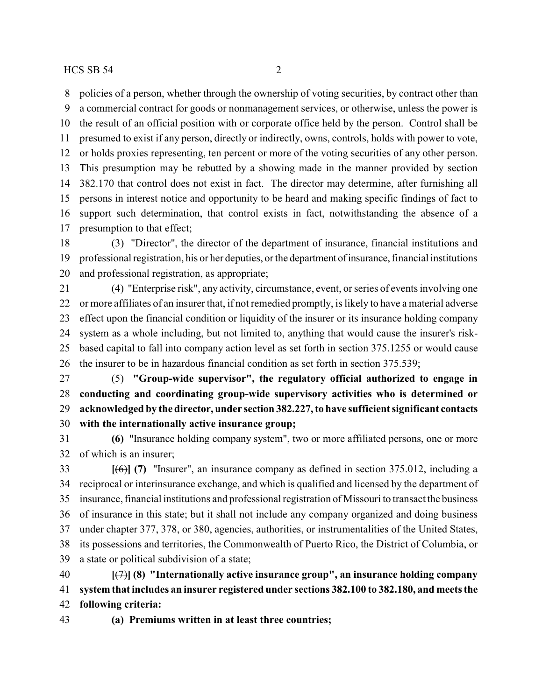policies of a person, whether through the ownership of voting securities, by contract other than

 a commercial contract for goods or nonmanagement services, or otherwise, unless the power is the result of an official position with or corporate office held by the person. Control shall be presumed to exist if any person, directly or indirectly, owns, controls, holds with power to vote, or holds proxies representing, ten percent or more of the voting securities of any other person. This presumption may be rebutted by a showing made in the manner provided by section 382.170 that control does not exist in fact. The director may determine, after furnishing all persons in interest notice and opportunity to be heard and making specific findings of fact to support such determination, that control exists in fact, notwithstanding the absence of a presumption to that effect;

 (3) "Director", the director of the department of insurance, financial institutions and professional registration, his or her deputies, or the department ofinsurance,financial institutions and professional registration, as appropriate;

 (4) "Enterprise risk", any activity, circumstance, event, or series of events involving one or more affiliates of an insurer that, if not remedied promptly, is likely to have a material adverse effect upon the financial condition or liquidity of the insurer or its insurance holding company system as a whole including, but not limited to, anything that would cause the insurer's risk- based capital to fall into company action level as set forth in section 375.1255 or would cause the insurer to be in hazardous financial condition as set forth in section 375.539;

 (5) **"Group-wide supervisor", the regulatory official authorized to engage in conducting and coordinating group-wide supervisory activities who is determined or acknowledged by the director, under section 382.227, to have sufficient significant contacts with the internationally active insurance group;**

 **(6)** "Insurance holding company system", two or more affiliated persons, one or more of which is an insurer;

 **[**(6)**] (7)** "Insurer", an insurance company as defined in section 375.012, including a reciprocal or interinsurance exchange, and which is qualified and licensed by the department of insurance, financial institutions and professional registration of Missouri to transact the business of insurance in this state; but it shall not include any company organized and doing business under chapter 377, 378, or 380, agencies, authorities, or instrumentalities of the United States, its possessions and territories, the Commonwealth of Puerto Rico, the District of Columbia, or a state or political subdivision of a state;

 **[**(7)**] (8) "Internationally active insurance group", an insurance holding company system that includes an insurer registered under sections 382.100 to 382.180, and meets the following criteria:**

**(a) Premiums written in at least three countries;**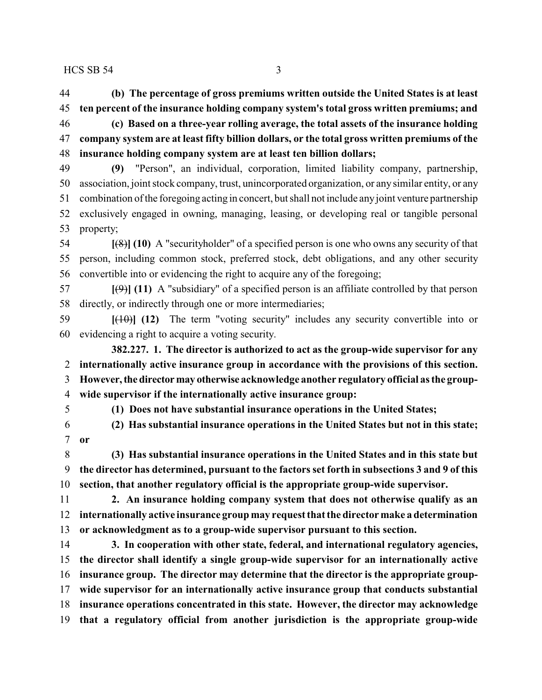**(b) The percentage of gross premiums written outside the United States is at least ten percent of the insurance holding company system's total gross written premiums; and**

 **(c) Based on a three-year rolling average, the total assets of the insurance holding company system are at least fifty billion dollars, or the total gross written premiums of the insurance holding company system are at least ten billion dollars;**

 **(9)** "Person", an individual, corporation, limited liability company, partnership, association, joint stock company, trust, unincorporated organization, or any similar entity, or any combination of the foregoing acting in concert, but shall not include anyjoint venture partnership exclusively engaged in owning, managing, leasing, or developing real or tangible personal property;

 **[**(8)**] (10)** A "securityholder" of a specified person is one who owns any security of that person, including common stock, preferred stock, debt obligations, and any other security convertible into or evidencing the right to acquire any of the foregoing;

 **[**(9)**] (11)** A "subsidiary" of a specified person is an affiliate controlled by that person directly, or indirectly through one or more intermediaries;

 **[**(10)**] (12)** The term "voting security" includes any security convertible into or evidencing a right to acquire a voting security.

**382.227. 1. The director is authorized to act as the group-wide supervisor for any internationally active insurance group in accordance with the provisions of this section. However,thedirectormay otherwise acknowledge another regulatory official as the group-wide supervisor if the internationally active insurance group:**

**(1) Does not have substantial insurance operations in the United States;**

 **(2) Has substantial insurance operations in the United States but not in this state; or**

 **(3) Has substantial insurance operations in the United States and in this state but the director has determined, pursuant to the factors set forth in subsections 3 and 9 of this section, that another regulatory official is the appropriate group-wide supervisor.**

 **2. An insurance holding company system that does not otherwise qualify as an internationally active insurance group may request that the director make a determination or acknowledgment as to a group-wide supervisor pursuant to this section.**

 **3. In cooperation with other state, federal, and international regulatory agencies, the director shall identify a single group-wide supervisor for an internationally active insurance group. The director may determine that the director is the appropriate group- wide supervisor for an internationally active insurance group that conducts substantial insurance operations concentrated in this state. However, the director may acknowledge that a regulatory official from another jurisdiction is the appropriate group-wide**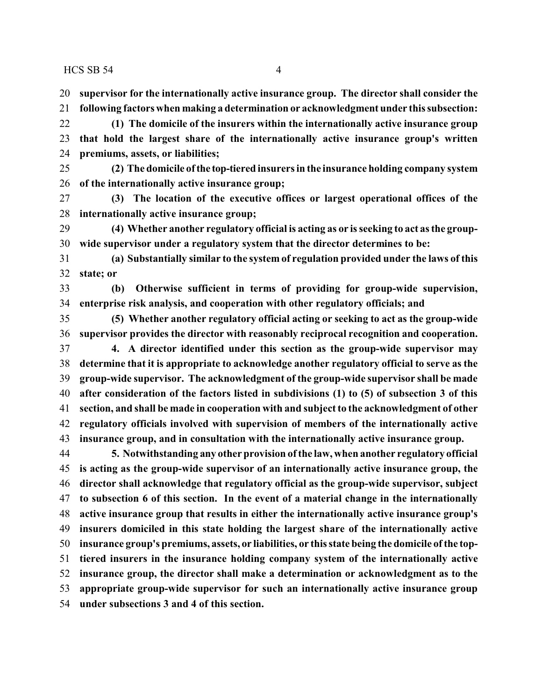- **supervisor for the internationally active insurance group. The director shall consider the**
- **following factors when making a determination or acknowledgment under this subsection:**
- **(1) The domicile of the insurers within the internationally active insurance group that hold the largest share of the internationally active insurance group's written premiums, assets, or liabilities;**
- **(2) The domicile of the top-tiered insurers in the insurance holding company system of the internationally active insurance group;**
- **(3) The location of the executive offices or largest operational offices of the internationally active insurance group;**
- **(4) Whether another regulatory official is acting as or is seeking to act as the group-wide supervisor under a regulatory system that the director determines to be:**
- **(a) Substantially similar to the system of regulation provided under the laws of this state; or**
- **(b) Otherwise sufficient in terms of providing for group-wide supervision, enterprise risk analysis, and cooperation with other regulatory officials; and**
- **(5) Whether another regulatory official acting or seeking to act as the group-wide supervisor provides the director with reasonably reciprocal recognition and cooperation. 4. A director identified under this section as the group-wide supervisor may determine that it is appropriate to acknowledge another regulatory official to serve as the group-wide supervisor. The acknowledgment of the group-wide supervisor shall be made after consideration of the factors listed in subdivisions (1) to (5) of subsection 3 of this section, and shall be made in cooperation with and subject to the acknowledgment of other regulatory officials involved with supervision of members of the internationally active insurance group, and in consultation with the internationally active insurance group.**
- **5. Notwithstanding any other provision ofthe law, when another regulatory official is acting as the group-wide supervisor of an internationally active insurance group, the director shall acknowledge that regulatory official as the group-wide supervisor, subject to subsection 6 of this section. In the event of a material change in the internationally active insurance group that results in either the internationally active insurance group's insurers domiciled in this state holding the largest share of the internationally active insurance group's premiums, assets, or liabilities, or this state being the domicile ofthe top- tiered insurers in the insurance holding company system of the internationally active insurance group, the director shall make a determination or acknowledgment as to the appropriate group-wide supervisor for such an internationally active insurance group under subsections 3 and 4 of this section.**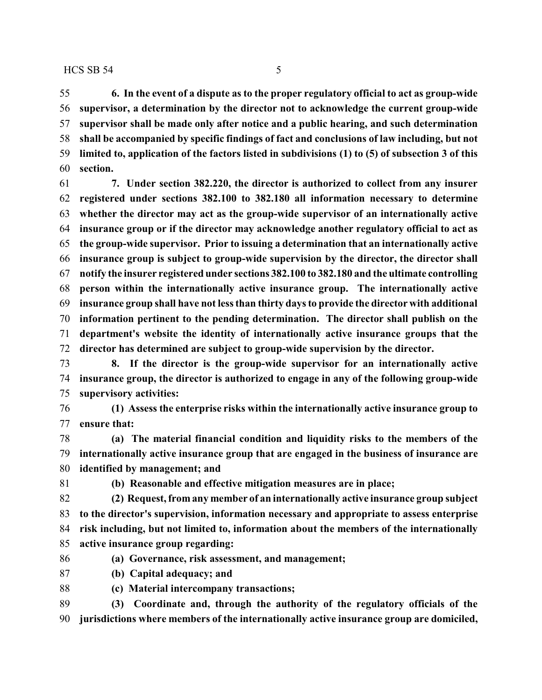**supervisor shall be made only after notice and a public hearing, and such determination shall be accompanied by specific findings of fact and conclusions of law including, but not limited to, application of the factors listed in subdivisions (1) to (5) of subsection 3 of this section.**

 **7. Under section 382.220, the director is authorized to collect from any insurer registered under sections 382.100 to 382.180 all information necessary to determine whether the director may act as the group-wide supervisor of an internationally active insurance group or if the director may acknowledge another regulatory official to act as the group-wide supervisor. Prior to issuing a determination that an internationally active insurance group is subject to group-wide supervision by the director, the director shall notify the insurer registered under sections 382.100 to 382.180 and the ultimate controlling person within the internationally active insurance group. The internationally active insurance group shall have not less than thirty days to provide the director with additional information pertinent to the pending determination. The director shall publish on the department's website the identity of internationally active insurance groups that the director has determined are subject to group-wide supervision by the director.**

 **8. If the director is the group-wide supervisor for an internationally active insurance group, the director is authorized to engage in any of the following group-wide supervisory activities:**

 **(1) Assess the enterprise risks within the internationally active insurance group to ensure that:**

 **(a) The material financial condition and liquidity risks to the members of the internationally active insurance group that are engaged in the business of insurance are identified by management; and**

**(b) Reasonable and effective mitigation measures are in place;**

 **(2) Request, from any member of an internationally active insurance group subject to the director's supervision, information necessary and appropriate to assess enterprise risk including, but not limited to, information about the members of the internationally active insurance group regarding:**

**(a) Governance, risk assessment, and management;**

- **(b) Capital adequacy; and**
- **(c) Material intercompany transactions;**

 **(3) Coordinate and, through the authority of the regulatory officials of the jurisdictions where members of the internationally active insurance group are domiciled,**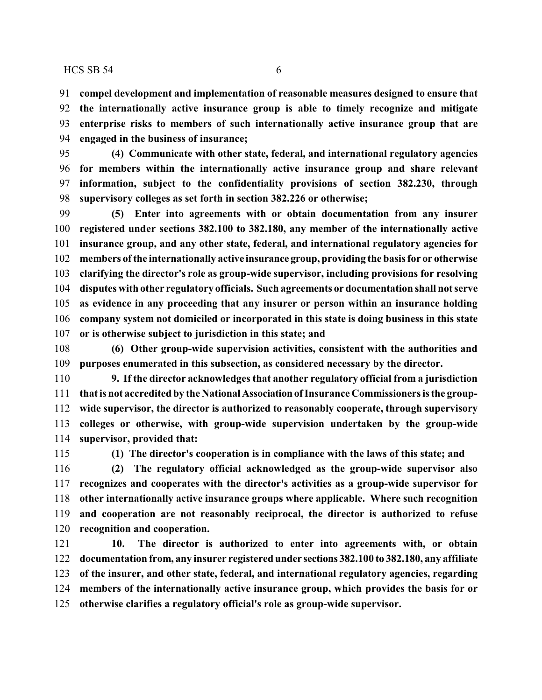**compel development and implementation of reasonable measures designed to ensure that the internationally active insurance group is able to timely recognize and mitigate**

 **enterprise risks to members of such internationally active insurance group that are engaged in the business of insurance;**

 **(4) Communicate with other state, federal, and international regulatory agencies for members within the internationally active insurance group and share relevant information, subject to the confidentiality provisions of section 382.230, through supervisory colleges as set forth in section 382.226 or otherwise;**

 **(5) Enter into agreements with or obtain documentation from any insurer registered under sections 382.100 to 382.180, any member of the internationally active insurance group, and any other state, federal, and international regulatory agencies for members ofthe internationally active insurance group, providing the basis for or otherwise clarifying the director's role as group-wide supervisor, including provisions for resolving disputes with other regulatory officials. Such agreements or documentation shall not serve as evidence in any proceeding that any insurer or person within an insurance holding company system not domiciled or incorporated in this state is doing business in this state or is otherwise subject to jurisdiction in this state; and**

 **(6) Other group-wide supervision activities, consistent with the authorities and purposes enumerated in this subsection, as considered necessary by the director.**

 **9. If the director acknowledges that another regulatory official from a jurisdiction that is not accredited by the NationalAssociationofInsurance Commissioners is the group- wide supervisor, the director is authorized to reasonably cooperate, through supervisory colleges or otherwise, with group-wide supervision undertaken by the group-wide supervisor, provided that:**

**(1) The director's cooperation is in compliance with the laws of this state; and**

 **(2) The regulatory official acknowledged as the group-wide supervisor also recognizes and cooperates with the director's activities as a group-wide supervisor for other internationally active insurance groups where applicable. Where such recognition and cooperation are not reasonably reciprocal, the director is authorized to refuse recognition and cooperation.**

 **10. The director is authorized to enter into agreements with, or obtain documentation from, any insurer registered under sections 382.100 to 382.180, any affiliate of the insurer, and other state, federal, and international regulatory agencies, regarding members of the internationally active insurance group, which provides the basis for or otherwise clarifies a regulatory official's role as group-wide supervisor.**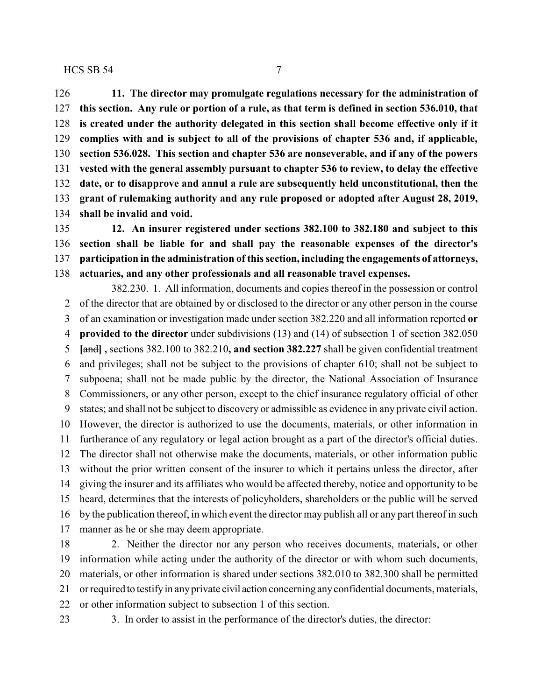**11. The director may promulgate regulations necessary for the administration of this section. Any rule or portion of a rule, as that term is defined in section 536.010, that is created under the authority delegated in this section shall become effective only if it complies with and is subject to all of the provisions of chapter 536 and, if applicable, section 536.028. This section and chapter 536 are nonseverable, and if any of the powers vested with the general assembly pursuant to chapter 536 to review, to delay the effective date, or to disapprove and annul a rule are subsequently held unconstitutional, then the grant of rulemaking authority and any rule proposed or adopted after August 28, 2019, shall be invalid and void.**

 **12. An insurer registered under sections 382.100 to 382.180 and subject to this section shall be liable for and shall pay the reasonable expenses of the director's participation in the administration of this section, including the engagements of attorneys, actuaries, and any other professionals and all reasonable travel expenses.**

382.230. 1. All information, documents and copies thereof in the possession or control of the director that are obtained by or disclosed to the director or any other person in the course of an examination or investigation made under section 382.220 and all information reported **or provided to the director** under subdivisions (13) and (14) of subsection 1 of section 382.050 **[**and**] ,** sections 382.100 to 382.210**, and section 382.227** shall be given confidential treatment and privileges; shall not be subject to the provisions of chapter 610; shall not be subject to subpoena; shall not be made public by the director, the National Association of Insurance Commissioners, or any other person, except to the chief insurance regulatory official of other states; and shall not be subject to discovery or admissible as evidence in any private civil action. However, the director is authorized to use the documents, materials, or other information in furtherance of any regulatory or legal action brought as a part of the director's official duties. The director shall not otherwise make the documents, materials, or other information public without the prior written consent of the insurer to which it pertains unless the director, after giving the insurer and its affiliates who would be affected thereby, notice and opportunity to be heard, determines that the interests of policyholders, shareholders or the public will be served by the publication thereof, in which event the director may publish all or any part thereof in such manner as he or she may deem appropriate.

 2. Neither the director nor any person who receives documents, materials, or other information while acting under the authority of the director or with whom such documents, materials, or other information is shared under sections 382.010 to 382.300 shall be permitted or required to testifyin anyprivate civil action concerning anyconfidential documents, materials, or other information subject to subsection 1 of this section.

3. In order to assist in the performance of the director's duties, the director: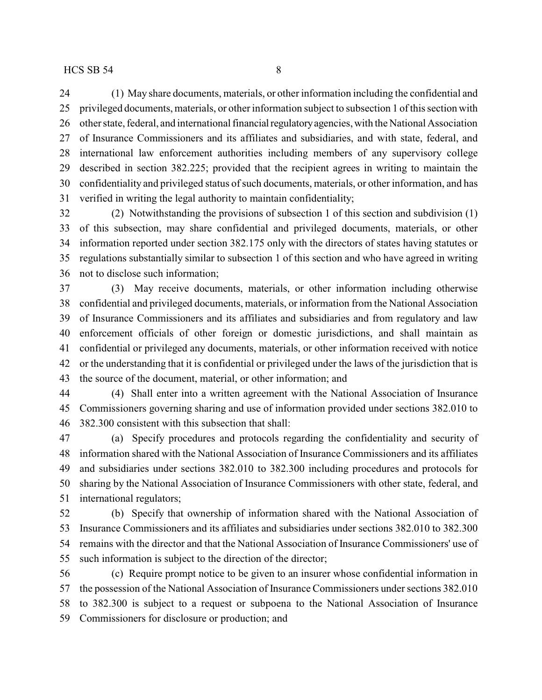(1) May share documents, materials, or other information including the confidential and privileged documents, materials, or other information subject to subsection 1 of this section with 26 other state, federal, and international financial regulatory agencies, with the National Association of Insurance Commissioners and its affiliates and subsidiaries, and with state, federal, and international law enforcement authorities including members of any supervisory college described in section 382.225; provided that the recipient agrees in writing to maintain the confidentiality and privileged status of such documents, materials, or other information, and has verified in writing the legal authority to maintain confidentiality;

 (2) Notwithstanding the provisions of subsection 1 of this section and subdivision (1) of this subsection, may share confidential and privileged documents, materials, or other information reported under section 382.175 only with the directors of states having statutes or regulations substantially similar to subsection 1 of this section and who have agreed in writing not to disclose such information;

 (3) May receive documents, materials, or other information including otherwise confidential and privileged documents, materials, or information from the National Association of Insurance Commissioners and its affiliates and subsidiaries and from regulatory and law enforcement officials of other foreign or domestic jurisdictions, and shall maintain as confidential or privileged any documents, materials, or other information received with notice or the understanding that it is confidential or privileged under the laws of the jurisdiction that is the source of the document, material, or other information; and

 (4) Shall enter into a written agreement with the National Association of Insurance Commissioners governing sharing and use of information provided under sections 382.010 to 382.300 consistent with this subsection that shall:

 (a) Specify procedures and protocols regarding the confidentiality and security of information shared with the National Association of Insurance Commissioners and its affiliates and subsidiaries under sections 382.010 to 382.300 including procedures and protocols for sharing by the National Association of Insurance Commissioners with other state, federal, and international regulators;

 (b) Specify that ownership of information shared with the National Association of Insurance Commissioners and its affiliates and subsidiaries under sections 382.010 to 382.300 remains with the director and that the National Association of Insurance Commissioners' use of such information is subject to the direction of the director;

 (c) Require prompt notice to be given to an insurer whose confidential information in the possession of the National Association of Insurance Commissioners under sections 382.010 to 382.300 is subject to a request or subpoena to the National Association of Insurance Commissioners for disclosure or production; and